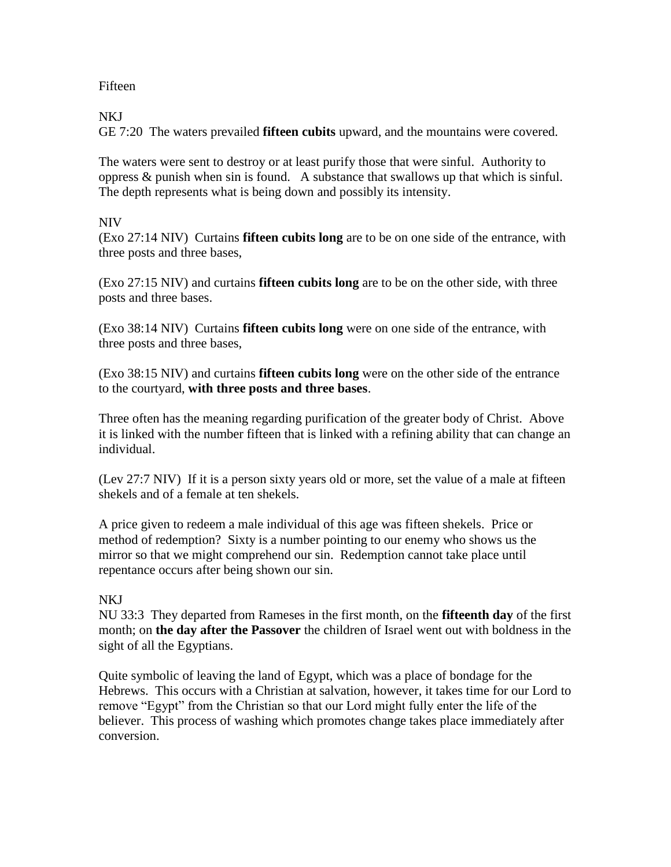## Fifteen

#### NKJ

GE 7:20 The waters prevailed **fifteen cubits** upward, and the mountains were covered.

The waters were sent to destroy or at least purify those that were sinful. Authority to oppress & punish when sin is found. A substance that swallows up that which is sinful. The depth represents what is being down and possibly its intensity.

## NIV

(Exo 27:14 NIV) Curtains **fifteen cubits long** are to be on one side of the entrance, with three posts and three bases,

(Exo 27:15 NIV) and curtains **fifteen cubits long** are to be on the other side, with three posts and three bases.

(Exo 38:14 NIV) Curtains **fifteen cubits long** were on one side of the entrance, with three posts and three bases,

(Exo 38:15 NIV) and curtains **fifteen cubits long** were on the other side of the entrance to the courtyard, **with three posts and three bases**.

Three often has the meaning regarding purification of the greater body of Christ. Above it is linked with the number fifteen that is linked with a refining ability that can change an individual.

(Lev 27:7 NIV) If it is a person sixty years old or more, set the value of a male at fifteen shekels and of a female at ten shekels.

A price given to redeem a male individual of this age was fifteen shekels. Price or method of redemption? Sixty is a number pointing to our enemy who shows us the mirror so that we might comprehend our sin. Redemption cannot take place until repentance occurs after being shown our sin.

## NKJ

NU 33:3 They departed from Rameses in the first month, on the **fifteenth day** of the first month; on **the day after the Passover** the children of Israel went out with boldness in the sight of all the Egyptians.

Quite symbolic of leaving the land of Egypt, which was a place of bondage for the Hebrews. This occurs with a Christian at salvation, however, it takes time for our Lord to remove "Egypt" from the Christian so that our Lord might fully enter the life of the believer. This process of washing which promotes change takes place immediately after conversion.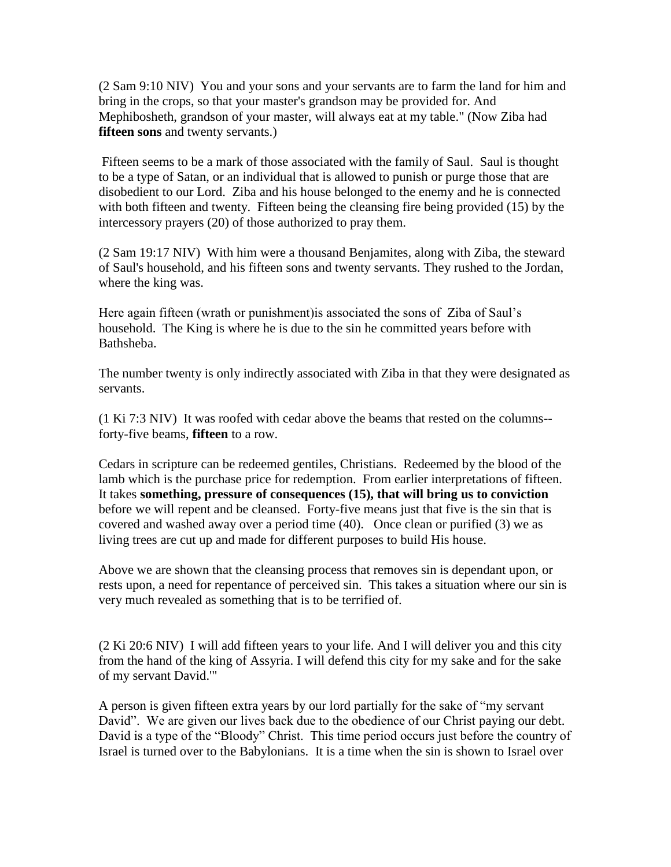(2 Sam 9:10 NIV) You and your sons and your servants are to farm the land for him and bring in the crops, so that your master's grandson may be provided for. And Mephibosheth, grandson of your master, will always eat at my table." (Now Ziba had **fifteen sons** and twenty servants.)

Fifteen seems to be a mark of those associated with the family of Saul. Saul is thought to be a type of Satan, or an individual that is allowed to punish or purge those that are disobedient to our Lord. Ziba and his house belonged to the enemy and he is connected with both fifteen and twenty. Fifteen being the cleansing fire being provided (15) by the intercessory prayers (20) of those authorized to pray them.

(2 Sam 19:17 NIV) With him were a thousand Benjamites, along with Ziba, the steward of Saul's household, and his fifteen sons and twenty servants. They rushed to the Jordan, where the king was.

Here again fifteen (wrath or punishment)is associated the sons of Ziba of Saul's household. The King is where he is due to the sin he committed years before with Bathsheba.

The number twenty is only indirectly associated with Ziba in that they were designated as servants.

(1 Ki 7:3 NIV) It was roofed with cedar above the beams that rested on the columns- forty-five beams, **fifteen** to a row.

Cedars in scripture can be redeemed gentiles, Christians. Redeemed by the blood of the lamb which is the purchase price for redemption. From earlier interpretations of fifteen. It takes **something, pressure of consequences (15), that will bring us to conviction** before we will repent and be cleansed. Forty-five means just that five is the sin that is covered and washed away over a period time (40). Once clean or purified (3) we as living trees are cut up and made for different purposes to build His house.

Above we are shown that the cleansing process that removes sin is dependant upon, or rests upon, a need for repentance of perceived sin. This takes a situation where our sin is very much revealed as something that is to be terrified of.

(2 Ki 20:6 NIV) I will add fifteen years to your life. And I will deliver you and this city from the hand of the king of Assyria. I will defend this city for my sake and for the sake of my servant David.'"

A person is given fifteen extra years by our lord partially for the sake of "my servant David". We are given our lives back due to the obedience of our Christ paying our debt. David is a type of the "Bloody" Christ. This time period occurs just before the country of Israel is turned over to the Babylonians. It is a time when the sin is shown to Israel over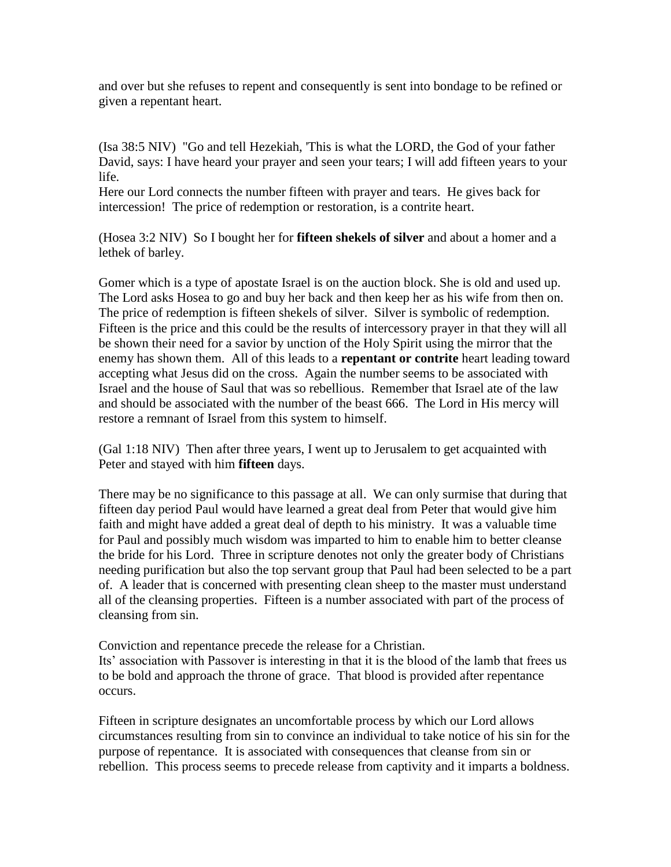and over but she refuses to repent and consequently is sent into bondage to be refined or given a repentant heart.

(Isa 38:5 NIV) "Go and tell Hezekiah, 'This is what the LORD, the God of your father David, says: I have heard your prayer and seen your tears; I will add fifteen years to your life.

Here our Lord connects the number fifteen with prayer and tears. He gives back for intercession! The price of redemption or restoration, is a contrite heart.

(Hosea 3:2 NIV) So I bought her for **fifteen shekels of silver** and about a homer and a lethek of barley.

Gomer which is a type of apostate Israel is on the auction block. She is old and used up. The Lord asks Hosea to go and buy her back and then keep her as his wife from then on. The price of redemption is fifteen shekels of silver. Silver is symbolic of redemption. Fifteen is the price and this could be the results of intercessory prayer in that they will all be shown their need for a savior by unction of the Holy Spirit using the mirror that the enemy has shown them. All of this leads to a **repentant or contrite** heart leading toward accepting what Jesus did on the cross. Again the number seems to be associated with Israel and the house of Saul that was so rebellious. Remember that Israel ate of the law and should be associated with the number of the beast 666. The Lord in His mercy will restore a remnant of Israel from this system to himself.

(Gal 1:18 NIV) Then after three years, I went up to Jerusalem to get acquainted with Peter and stayed with him **fifteen** days.

There may be no significance to this passage at all. We can only surmise that during that fifteen day period Paul would have learned a great deal from Peter that would give him faith and might have added a great deal of depth to his ministry. It was a valuable time for Paul and possibly much wisdom was imparted to him to enable him to better cleanse the bride for his Lord. Three in scripture denotes not only the greater body of Christians needing purification but also the top servant group that Paul had been selected to be a part of. A leader that is concerned with presenting clean sheep to the master must understand all of the cleansing properties. Fifteen is a number associated with part of the process of cleansing from sin.

Conviction and repentance precede the release for a Christian.

Its' association with Passover is interesting in that it is the blood of the lamb that frees us to be bold and approach the throne of grace. That blood is provided after repentance occurs.

Fifteen in scripture designates an uncomfortable process by which our Lord allows circumstances resulting from sin to convince an individual to take notice of his sin for the purpose of repentance. It is associated with consequences that cleanse from sin or rebellion. This process seems to precede release from captivity and it imparts a boldness.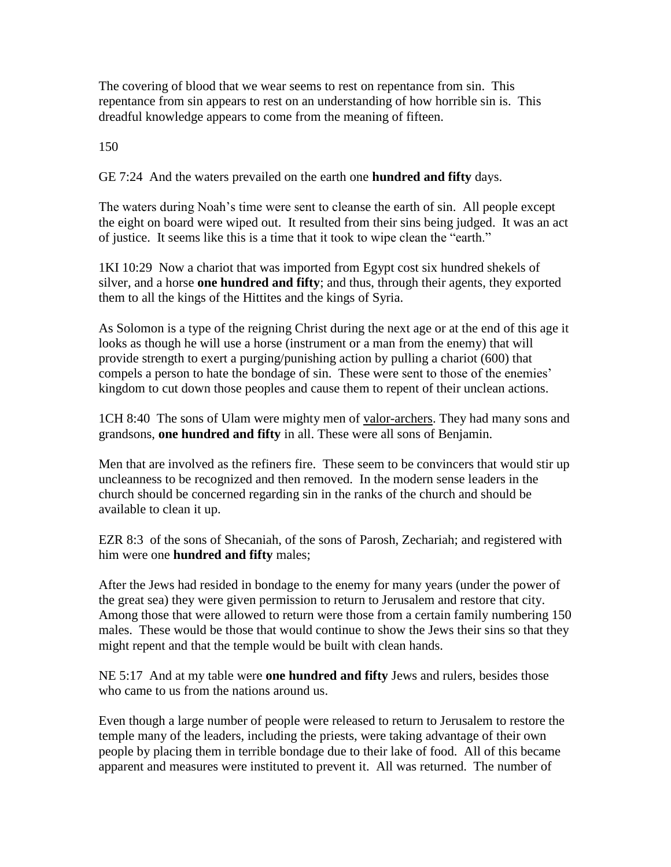The covering of blood that we wear seems to rest on repentance from sin. This repentance from sin appears to rest on an understanding of how horrible sin is. This dreadful knowledge appears to come from the meaning of fifteen.

150

GE 7:24 And the waters prevailed on the earth one **hundred and fifty** days.

The waters during Noah's time were sent to cleanse the earth of sin. All people except the eight on board were wiped out. It resulted from their sins being judged. It was an act of justice. It seems like this is a time that it took to wipe clean the "earth."

1KI 10:29 Now a chariot that was imported from Egypt cost six hundred shekels of silver, and a horse **one hundred and fifty**; and thus, through their agents, they exported them to all the kings of the Hittites and the kings of Syria.

As Solomon is a type of the reigning Christ during the next age or at the end of this age it looks as though he will use a horse (instrument or a man from the enemy) that will provide strength to exert a purging/punishing action by pulling a chariot (600) that compels a person to hate the bondage of sin. These were sent to those of the enemies' kingdom to cut down those peoples and cause them to repent of their unclean actions.

1CH 8:40 The sons of Ulam were mighty men of valor-archers. They had many sons and grandsons, **one hundred and fifty** in all. These were all sons of Benjamin.

Men that are involved as the refiners fire. These seem to be convincers that would stir up uncleanness to be recognized and then removed. In the modern sense leaders in the church should be concerned regarding sin in the ranks of the church and should be available to clean it up.

EZR 8:3 of the sons of Shecaniah, of the sons of Parosh, Zechariah; and registered with him were one **hundred and fifty** males;

After the Jews had resided in bondage to the enemy for many years (under the power of the great sea) they were given permission to return to Jerusalem and restore that city. Among those that were allowed to return were those from a certain family numbering 150 males. These would be those that would continue to show the Jews their sins so that they might repent and that the temple would be built with clean hands.

NE 5:17 And at my table were **one hundred and fifty** Jews and rulers, besides those who came to us from the nations around us.

Even though a large number of people were released to return to Jerusalem to restore the temple many of the leaders, including the priests, were taking advantage of their own people by placing them in terrible bondage due to their lake of food. All of this became apparent and measures were instituted to prevent it. All was returned. The number of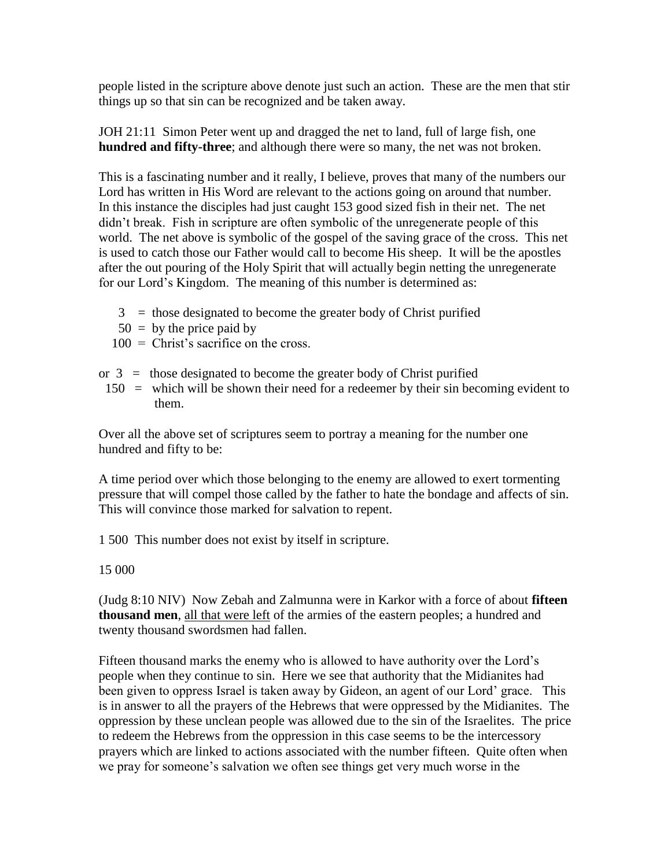people listed in the scripture above denote just such an action. These are the men that stir things up so that sin can be recognized and be taken away.

JOH 21:11 Simon Peter went up and dragged the net to land, full of large fish, one **hundred and fifty-three**; and although there were so many, the net was not broken.

This is a fascinating number and it really, I believe, proves that many of the numbers our Lord has written in His Word are relevant to the actions going on around that number. In this instance the disciples had just caught 153 good sized fish in their net. The net didn't break. Fish in scripture are often symbolic of the unregenerate people of this world. The net above is symbolic of the gospel of the saving grace of the cross. This net is used to catch those our Father would call to become His sheep. It will be the apostles after the out pouring of the Holy Spirit that will actually begin netting the unregenerate for our Lord's Kingdom. The meaning of this number is determined as:

- $3 =$  those designated to become the greater body of Christ purified
- $50 =$  by the price paid by
- $100 =$  Christ's sacrifice on the cross.
- or  $3 =$  those designated to become the greater body of Christ purified
- 150 = which will be shown their need for a redeemer by their sin becoming evident to them.

Over all the above set of scriptures seem to portray a meaning for the number one hundred and fifty to be:

A time period over which those belonging to the enemy are allowed to exert tormenting pressure that will compel those called by the father to hate the bondage and affects of sin. This will convince those marked for salvation to repent.

1 500 This number does not exist by itself in scripture.

15 000

(Judg 8:10 NIV) Now Zebah and Zalmunna were in Karkor with a force of about **fifteen thousand men**, all that were left of the armies of the eastern peoples; a hundred and twenty thousand swordsmen had fallen.

Fifteen thousand marks the enemy who is allowed to have authority over the Lord's people when they continue to sin. Here we see that authority that the Midianites had been given to oppress Israel is taken away by Gideon, an agent of our Lord' grace. This is in answer to all the prayers of the Hebrews that were oppressed by the Midianites. The oppression by these unclean people was allowed due to the sin of the Israelites. The price to redeem the Hebrews from the oppression in this case seems to be the intercessory prayers which are linked to actions associated with the number fifteen. Quite often when we pray for someone's salvation we often see things get very much worse in the